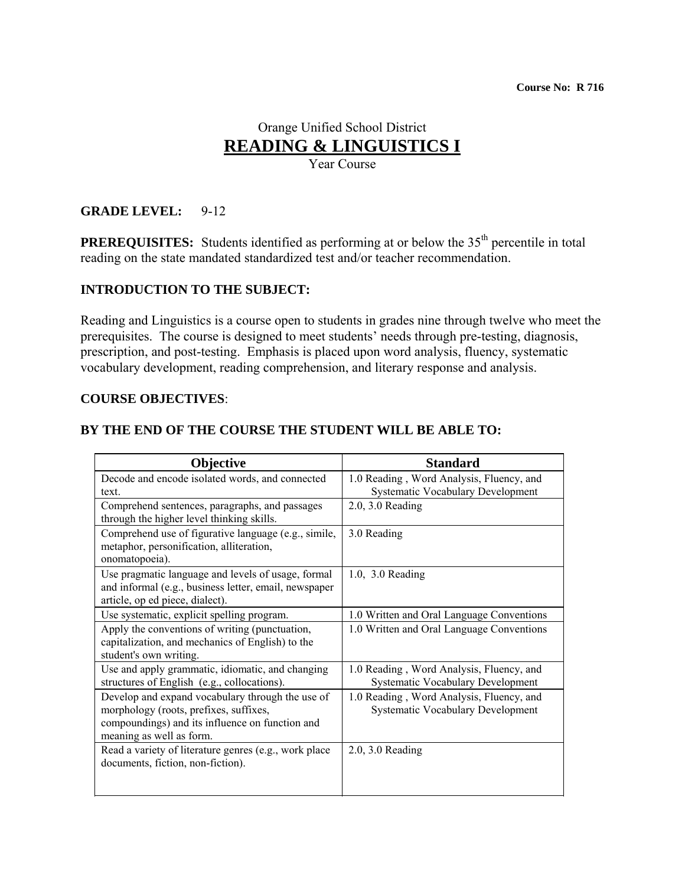# Orange Unified School District **READING & LINGUISTICS I**

Year Course

# **GRADE LEVEL:** 9-12

**PREREQUISITES:** Students identified as performing at or below the 35<sup>th</sup> percentile in total reading on the state mandated standardized test and/or teacher recommendation.

# **INTRODUCTION TO THE SUBJECT:**

Reading and Linguistics is a course open to students in grades nine through twelve who meet the prerequisites. The course is designed to meet students' needs through pre-testing, diagnosis, prescription, and post-testing. Emphasis is placed upon word analysis, fluency, systematic vocabulary development, reading comprehension, and literary response and analysis.

#### **COURSE OBJECTIVES**:

#### **BY THE END OF THE COURSE THE STUDENT WILL BE ABLE TO:**

| Objective                                                                                                                                                                 | <b>Standard</b>                                                                      |
|---------------------------------------------------------------------------------------------------------------------------------------------------------------------------|--------------------------------------------------------------------------------------|
| Decode and encode isolated words, and connected<br>text.                                                                                                                  | 1.0 Reading, Word Analysis, Fluency, and<br><b>Systematic Vocabulary Development</b> |
| Comprehend sentences, paragraphs, and passages<br>through the higher level thinking skills.                                                                               | $2.0, 3.0$ Reading                                                                   |
| Comprehend use of figurative language (e.g., simile,<br>metaphor, personification, alliteration,<br>onomatopoeia).                                                        | 3.0 Reading                                                                          |
| Use pragmatic language and levels of usage, formal<br>and informal (e.g., business letter, email, newspaper<br>article, op ed piece, dialect).                            | 1.0, 3.0 Reading                                                                     |
| Use systematic, explicit spelling program.                                                                                                                                | 1.0 Written and Oral Language Conventions                                            |
| Apply the conventions of writing (punctuation,<br>capitalization, and mechanics of English) to the<br>student's own writing.                                              | 1.0 Written and Oral Language Conventions                                            |
| Use and apply grammatic, idiomatic, and changing<br>structures of English (e.g., collocations).                                                                           | 1.0 Reading, Word Analysis, Fluency, and<br><b>Systematic Vocabulary Development</b> |
| Develop and expand vocabulary through the use of<br>morphology (roots, prefixes, suffixes,<br>compoundings) and its influence on function and<br>meaning as well as form. | 1.0 Reading, Word Analysis, Fluency, and<br><b>Systematic Vocabulary Development</b> |
| Read a variety of literature genres (e.g., work place<br>documents, fiction, non-fiction).                                                                                | $2.0, 3.0$ Reading                                                                   |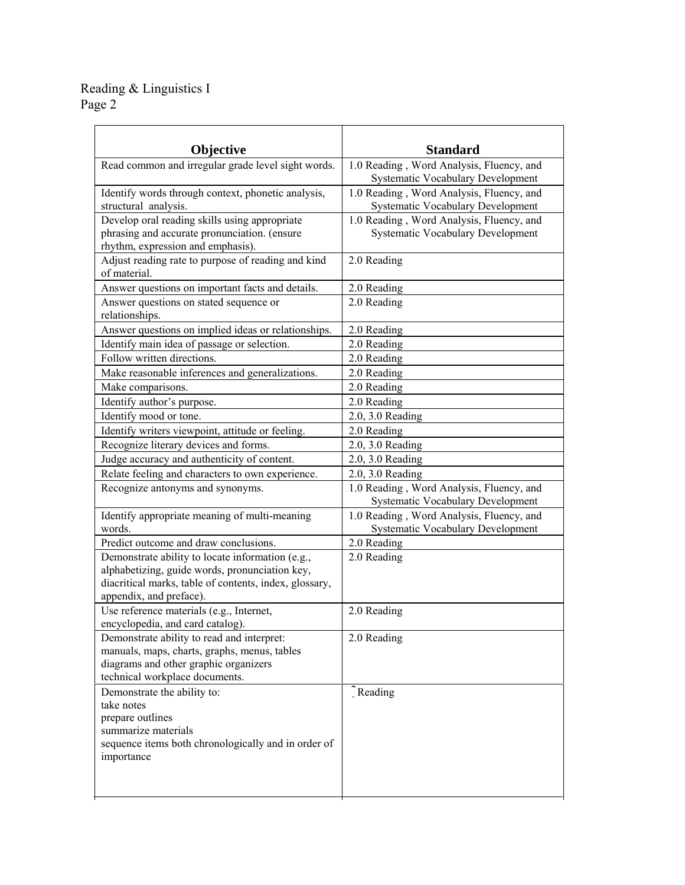| Objective                                                           | <b>Standard</b>                                                                      |  |
|---------------------------------------------------------------------|--------------------------------------------------------------------------------------|--|
| Read common and irregular grade level sight words.                  | 1.0 Reading, Word Analysis, Fluency, and                                             |  |
|                                                                     | Systematic Vocabulary Development                                                    |  |
| Identify words through context, phonetic analysis,                  | 1.0 Reading, Word Analysis, Fluency, and                                             |  |
| structural analysis.                                                | Systematic Vocabulary Development                                                    |  |
| Develop oral reading skills using appropriate                       | 1.0 Reading, Word Analysis, Fluency, and                                             |  |
| phrasing and accurate pronunciation. (ensure                        | <b>Systematic Vocabulary Development</b>                                             |  |
| rhythm, expression and emphasis).                                   |                                                                                      |  |
| Adjust reading rate to purpose of reading and kind                  | 2.0 Reading                                                                          |  |
| of material.                                                        |                                                                                      |  |
| Answer questions on important facts and details.                    | 2.0 Reading                                                                          |  |
| Answer questions on stated sequence or<br>relationships.            | 2.0 Reading                                                                          |  |
| Answer questions on implied ideas or relationships.                 | 2.0 Reading                                                                          |  |
| Identify main idea of passage or selection.                         | 2.0 Reading                                                                          |  |
| Follow written directions.                                          | 2.0 Reading                                                                          |  |
| Make reasonable inferences and generalizations.                     | 2.0 Reading                                                                          |  |
| Make comparisons.                                                   | 2.0 Reading                                                                          |  |
| Identify author's purpose.                                          | 2.0 Reading                                                                          |  |
| Identify mood or tone.                                              | 2.0, 3.0 Reading                                                                     |  |
| Identify writers viewpoint, attitude or feeling.                    | 2.0 Reading                                                                          |  |
| Recognize literary devices and forms.                               | 2.0, 3.0 Reading                                                                     |  |
| Judge accuracy and authenticity of content.                         | 2.0, 3.0 Reading                                                                     |  |
| Relate feeling and characters to own experience.                    | 2.0, 3.0 Reading                                                                     |  |
| Recognize antonyms and synonyms.                                    | 1.0 Reading, Word Analysis, Fluency, and<br><b>Systematic Vocabulary Development</b> |  |
| Identify appropriate meaning of multi-meaning                       | 1.0 Reading, Word Analysis, Fluency, and                                             |  |
| words.                                                              | <b>Systematic Vocabulary Development</b>                                             |  |
| Predict outcome and draw conclusions.                               | 2.0 Reading                                                                          |  |
| Demonstrate ability to locate information (e.g.,                    | 2.0 Reading                                                                          |  |
| alphabetizing, guide words, pronunciation key,                      |                                                                                      |  |
| diacritical marks, table of contents, index, glossary,              |                                                                                      |  |
| appendix, and preface).<br>Use reference materials (e.g., Internet, |                                                                                      |  |
| encyclopedia, and card catalog).                                    | 2.0 Reading                                                                          |  |
| Demonstrate ability to read and interpret:                          | 2.0 Reading                                                                          |  |
| manuals, maps, charts, graphs, menus, tables                        |                                                                                      |  |
| diagrams and other graphic organizers                               |                                                                                      |  |
| technical workplace documents.                                      |                                                                                      |  |
| Demonstrate the ability to:                                         | $\tilde{ }$ Reading                                                                  |  |
| take notes                                                          |                                                                                      |  |
| prepare outlines                                                    |                                                                                      |  |
| summarize materials                                                 |                                                                                      |  |
| sequence items both chronologically and in order of                 |                                                                                      |  |
| importance                                                          |                                                                                      |  |
|                                                                     |                                                                                      |  |
|                                                                     |                                                                                      |  |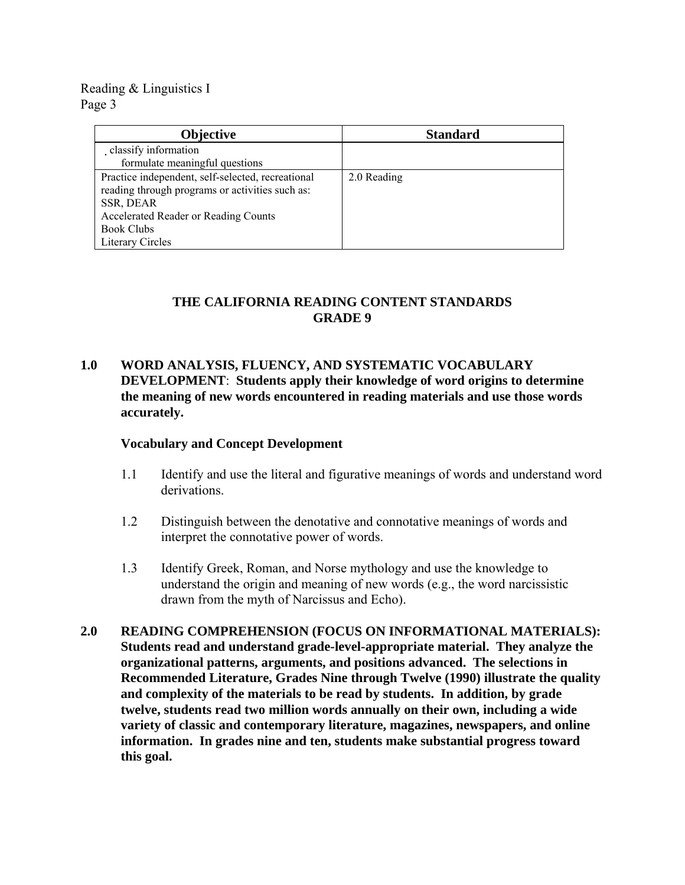| <b>Objective</b>                                                                                                                                                                                          | <b>Standard</b> |
|-----------------------------------------------------------------------------------------------------------------------------------------------------------------------------------------------------------|-----------------|
| classify information                                                                                                                                                                                      |                 |
| formulate meaningful questions                                                                                                                                                                            |                 |
| Practice independent, self-selected, recreational<br>reading through programs or activities such as:<br>SSR, DEAR<br>Accelerated Reader or Reading Counts<br><b>Book Clubs</b><br><b>Literary Circles</b> | 2.0 Reading     |

# **THE CALIFORNIA READING CONTENT STANDARDS GRADE 9**

# **1.0 WORD ANALYSIS, FLUENCY, AND SYSTEMATIC VOCABULARY DEVELOPMENT**: **Students apply their knowledge of word origins to determine the meaning of new words encountered in reading materials and use those words accurately.**

# **Vocabulary and Concept Development**

- 1.1 Identify and use the literal and figurative meanings of words and understand word derivations.
- 1.2 Distinguish between the denotative and connotative meanings of words and interpret the connotative power of words.
- 1.3 Identify Greek, Roman, and Norse mythology and use the knowledge to understand the origin and meaning of new words (e.g., the word narcissistic drawn from the myth of Narcissus and Echo).
- **2.0 READING COMPREHENSION (FOCUS ON INFORMATIONAL MATERIALS): Students read and understand grade-level-appropriate material. They analyze the organizational patterns, arguments, and positions advanced. The selections in Recommended Literature, Grades Nine through Twelve (1990) illustrate the quality and complexity of the materials to be read by students. In addition, by grade twelve, students read two million words annually on their own, including a wide variety of classic and contemporary literature, magazines, newspapers, and online information. In grades nine and ten, students make substantial progress toward this goal.**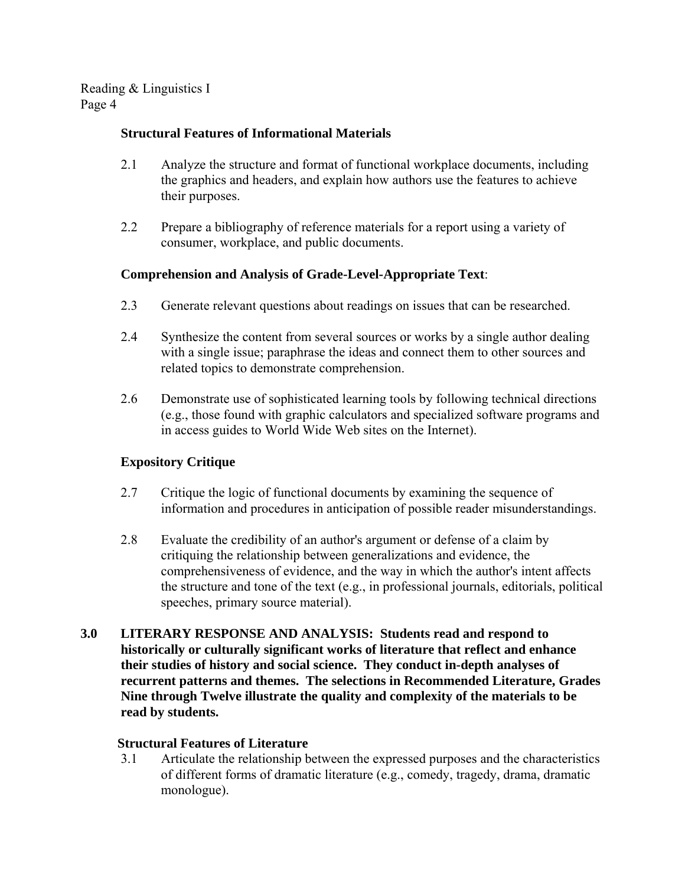# **Structural Features of Informational Materials**

- 2.1 Analyze the structure and format of functional workplace documents, including the graphics and headers, and explain how authors use the features to achieve their purposes.
- 2.2 Prepare a bibliography of reference materials for a report using a variety of consumer, workplace, and public documents.

# **Comprehension and Analysis of Grade-Level-Appropriate Text**:

- 2.3 Generate relevant questions about readings on issues that can be researched.
- 2.4 Synthesize the content from several sources or works by a single author dealing with a single issue; paraphrase the ideas and connect them to other sources and related topics to demonstrate comprehension.
- 2.6 Demonstrate use of sophisticated learning tools by following technical directions (e.g., those found with graphic calculators and specialized software programs and in access guides to World Wide Web sites on the Internet).

# **Expository Critique**

- 2.7 Critique the logic of functional documents by examining the sequence of information and procedures in anticipation of possible reader misunderstandings.
- 2.8 Evaluate the credibility of an author's argument or defense of a claim by critiquing the relationship between generalizations and evidence, the comprehensiveness of evidence, and the way in which the author's intent affects the structure and tone of the text (e.g., in professional journals, editorials, political speeches, primary source material).
- **3.0 LITERARY RESPONSE AND ANALYSIS: Students read and respond to historically or culturally significant works of literature that reflect and enhance their studies of history and social science. They conduct in-depth analyses of recurrent patterns and themes. The selections in Recommended Literature, Grades Nine through Twelve illustrate the quality and complexity of the materials to be read by students.**

# **Structural Features of Literature**

3.1 Articulate the relationship between the expressed purposes and the characteristics of different forms of dramatic literature (e.g., comedy, tragedy, drama, dramatic monologue).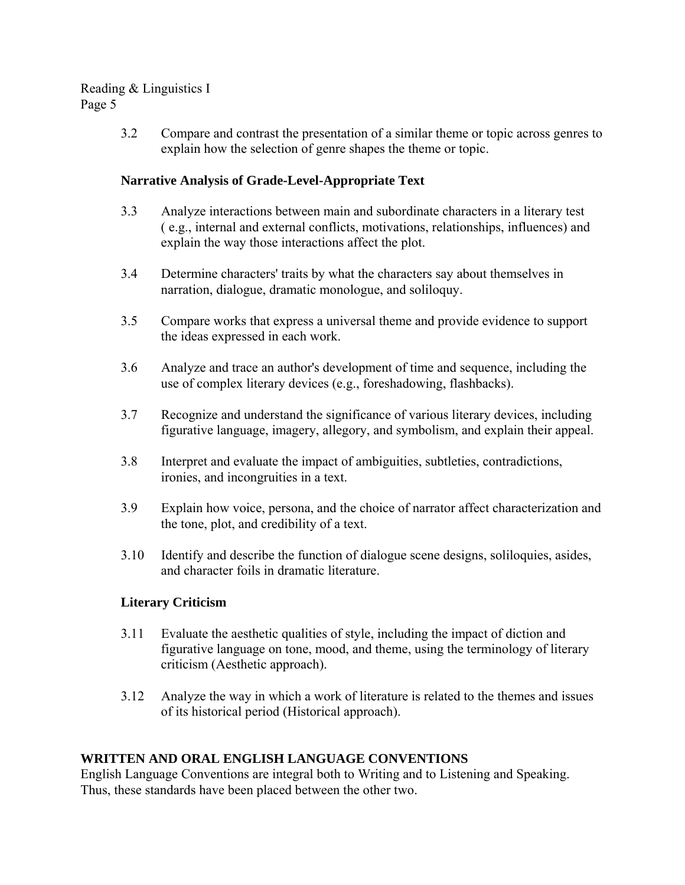3.2 Compare and contrast the presentation of a similar theme or topic across genres to explain how the selection of genre shapes the theme or topic.

# **Narrative Analysis of Grade-Level-Appropriate Text**

- 3.3 Analyze interactions between main and subordinate characters in a literary test ( e.g., internal and external conflicts, motivations, relationships, influences) and explain the way those interactions affect the plot.
- 3.4 Determine characters' traits by what the characters say about themselves in narration, dialogue, dramatic monologue, and soliloquy.
- 3.5 Compare works that express a universal theme and provide evidence to support the ideas expressed in each work.
- 3.6 Analyze and trace an author's development of time and sequence, including the use of complex literary devices (e.g., foreshadowing, flashbacks).
- 3.7 Recognize and understand the significance of various literary devices, including figurative language, imagery, allegory, and symbolism, and explain their appeal.
- 3.8 Interpret and evaluate the impact of ambiguities, subtleties, contradictions, ironies, and incongruities in a text.
- 3.9 Explain how voice, persona, and the choice of narrator affect characterization and the tone, plot, and credibility of a text.
- 3.10 Identify and describe the function of dialogue scene designs, soliloquies, asides, and character foils in dramatic literature.

# **Literary Criticism**

- 3.11 Evaluate the aesthetic qualities of style, including the impact of diction and figurative language on tone, mood, and theme, using the terminology of literary criticism (Aesthetic approach).
- 3.12 Analyze the way in which a work of literature is related to the themes and issues of its historical period (Historical approach).

# **WRITTEN AND ORAL ENGLISH LANGUAGE CONVENTIONS**

English Language Conventions are integral both to Writing and to Listening and Speaking. Thus, these standards have been placed between the other two.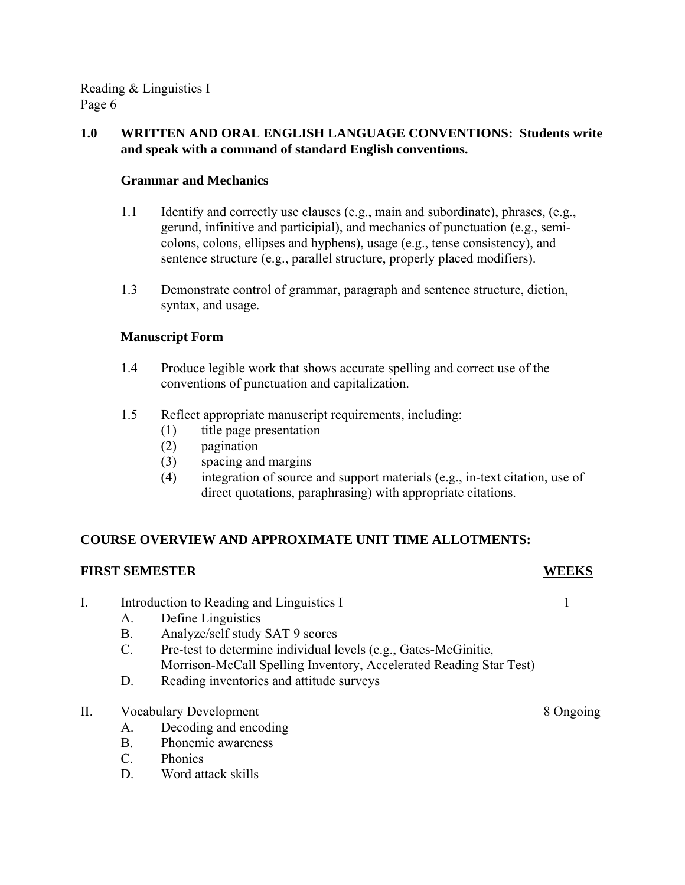# **1.0 WRITTEN AND ORAL ENGLISH LANGUAGE CONVENTIONS: Students write and speak with a command of standard English conventions.**

# **Grammar and Mechanics**

- 1.1 Identify and correctly use clauses (e.g., main and subordinate), phrases, (e.g., gerund, infinitive and participial), and mechanics of punctuation (e.g., semicolons, colons, ellipses and hyphens), usage (e.g., tense consistency), and sentence structure (e.g., parallel structure, properly placed modifiers).
- 1.3 Demonstrate control of grammar, paragraph and sentence structure, diction, syntax, and usage.

# **Manuscript Form**

- 1.4 Produce legible work that shows accurate spelling and correct use of the conventions of punctuation and capitalization.
- 1.5 Reflect appropriate manuscript requirements, including:
	- (1) title page presentation
	- (2) pagination
	- (3) spacing and margins
	- (4) integration of source and support materials (e.g., in-text citation, use of direct quotations, paraphrasing) with appropriate citations.

# **COURSE OVERVIEW AND APPROXIMATE UNIT TIME ALLOTMENTS:**

# **FIRST SEMESTER WEEKS**

- I. Introduction to Reading and Linguistics I 1
	- A. Define Linguistics
	- B. Analyze/self study SAT 9 scores
	- C. Pre-test to determine individual levels (e.g., Gates-McGinitie, Morrison-McCall Spelling Inventory, Accelerated Reading Star Test)
	- D. Reading inventories and attitude surveys
- II. Vocabulary Development 8 Ongoing
	- A. Decoding and encoding
	- B. Phonemic awareness
	- C. Phonics
	- D. Word attack skills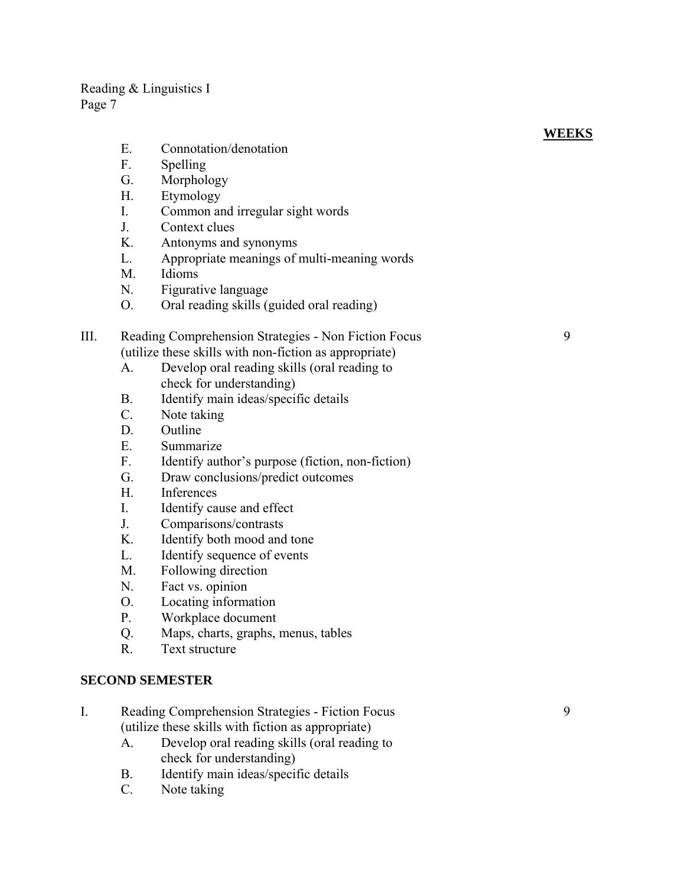- E. Connotation/denotation
- F. Spelling
- G. Morphology
- H. Etymology
- I. Common and irregular sight words
- J. Context clues
- K. Antonyms and synonyms
- L. Appropriate meanings of multi-meaning words
- M. Idioms
- N. Figurative language
- O. Oral reading skills (guided oral reading)

# III. Reading Comprehension Strategies - Non Fiction Focus 9 (utilize these skills with non-fiction as appropriate)

- A. Develop oral reading skills (oral reading to check for understanding)
- B. Identify main ideas/specific details
- C. Note taking
- D. Outline
- E. Summarize
- F. Identify author's purpose (fiction, non-fiction)
- G. Draw conclusions/predict outcomes
- H. Inferences
- I. Identify cause and effect
- J. Comparisons/contrasts
- K. Identify both mood and tone
- L. Identify sequence of events
- M. Following direction
- N. Fact vs. opinion
- O. Locating information
- P. Workplace document
- Q. Maps, charts, graphs, menus, tables
- R. Text structure

#### **SECOND SEMESTER**

- I. Reading Comprehension Strategies Fiction Focus 9 (utilize these skills with fiction as appropriate)
	- A. Develop oral reading skills (oral reading to check for understanding)
	- B. Identify main ideas/specific details
	- C. Note taking

# **WEEKS**